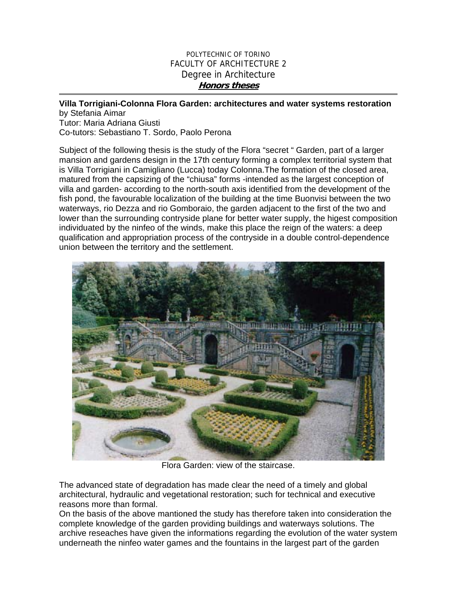## POLYTECHNIC OF TORINO FACULTY OF ARCHITECTURE 2 Degree in Architecture **Honors theses**

## **Villa Torrigiani-Colonna Flora Garden: architectures and water systems restoration**

by Stefania Aimar Tutor: Maria Adriana Giusti Co-tutors: Sebastiano T. Sordo, Paolo Perona

Subject of the following thesis is the study of the Flora "secret " Garden, part of a larger mansion and gardens design in the 17th century forming a complex territorial system that is Villa Torrigiani in Camigliano (Lucca) today Colonna.The formation of the closed area, matured from the capsizing of the "chiusa" forms -intended as the largest conception of villa and garden- according to the north-south axis identified from the development of the fish pond, the favourable localization of the building at the time Buonvisi between the two waterways, rio Dezza and rio Gomboraio, the garden adjacent to the first of the two and lower than the surrounding contryside plane for better water supply, the higest composition individuated by the ninfeo of the winds, make this place the reign of the waters: a deep qualification and appropriation process of the contryside in a double control-dependence union between the territory and the settlement.



Flora Garden: view of the staircase.

The advanced state of degradation has made clear the need of a timely and global architectural, hydraulic and vegetational restoration; such for technical and executive reasons more than formal.

On the basis of the above mantioned the study has therefore taken into consideration the complete knowledge of the garden providing buildings and waterways solutions. The archive reseaches have given the informations regarding the evolution of the water system underneath the ninfeo water games and the fountains in the largest part of the garden